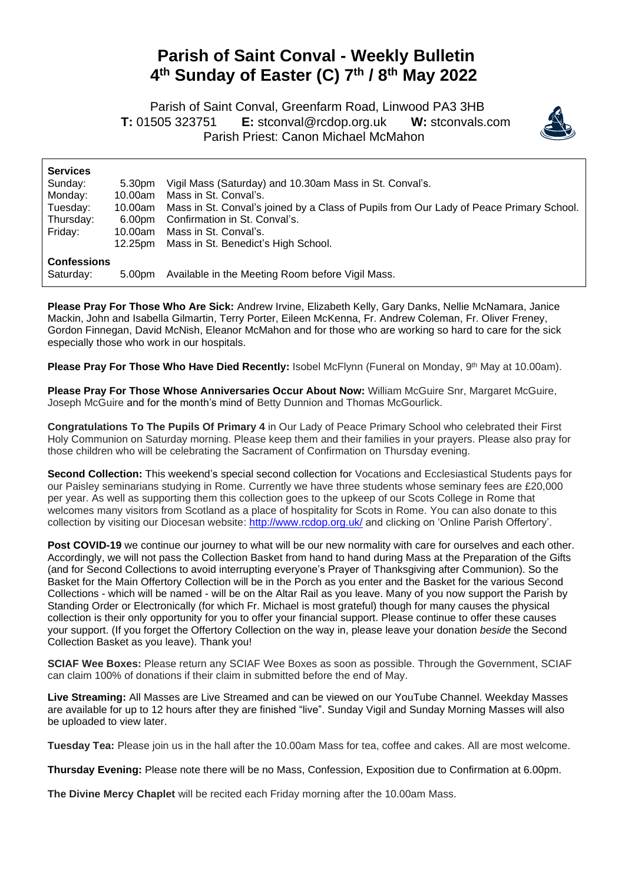## **Parish of Saint Conval - Weekly Bulletin 4 th Sunday of Easter (C) 7 th / 8th May 2022**

 Parish of Saint Conval, Greenfarm Road, Linwood PA3 3HB **T:** 01505 323751 **E:** [stconval@rcdop.org.uk](mailto:stconval@rcdop.org.uk) **W:** stconvals.com Parish Priest: Canon Michael McMahon



| <b>Services</b><br>Sunday:<br>Monday:<br>Tuesday:<br>Thursday:<br>Friday: | 5.30pm<br>10.00am<br>10.00am<br>6.00pm<br>10.00am | Vigil Mass (Saturday) and 10.30am Mass in St. Conval's.<br>Mass in St. Conval's.<br>Mass in St. Conval's joined by a Class of Pupils from Our Lady of Peace Primary School.<br>Confirmation in St. Conval's.<br>Mass in St. Conval's. |
|---------------------------------------------------------------------------|---------------------------------------------------|---------------------------------------------------------------------------------------------------------------------------------------------------------------------------------------------------------------------------------------|
|                                                                           | 12.25pm                                           | Mass in St. Benedict's High School.                                                                                                                                                                                                   |
| <b>Confessions</b><br>Saturday:                                           | 5.00pm                                            | Available in the Meeting Room before Vigil Mass.                                                                                                                                                                                      |

**Please Pray For Those Who Are Sick:** Andrew Irvine, Elizabeth Kelly, Gary Danks, Nellie McNamara, Janice Mackin, John and Isabella Gilmartin, Terry Porter, Eileen McKenna, Fr. Andrew Coleman, Fr. Oliver Freney, Gordon Finnegan, David McNish, Eleanor McMahon and for those who are working so hard to care for the sick especially those who work in our hospitals.

**Please Pray For Those Who Have Died Recently:** Isobel McFlynn (Funeral on Monday, 9<sup>th</sup> May at 10.00am).

**Please Pray For Those Whose Anniversaries Occur About Now:** William McGuire Snr, Margaret McGuire, Joseph McGuire and for the month's mind of Betty Dunnion and Thomas McGourlick.

**Congratulations To The Pupils Of Primary 4** in Our Lady of Peace Primary School who celebrated their First Holy Communion on Saturday morning. Please keep them and their families in your prayers. Please also pray for those children who will be celebrating the Sacrament of Confirmation on Thursday evening.

**Second Collection:** This weekend's special second collection for Vocations and Ecclesiastical Students pays for our Paisley seminarians studying in Rome. Currently we have three students whose seminary fees are £20,000 per year. As well as supporting them this collection goes to the upkeep of our Scots College in Rome that welcomes many visitors from Scotland as a place of hospitality for Scots in Rome. You can also donate to this collection by visiting our Diocesan website: <http://www.rcdop.org.uk/> and clicking on 'Online Parish Offertory'.

**Post COVID-19** we continue our journey to what will be our new normality with care for ourselves and each other. Accordingly, we will not pass the Collection Basket from hand to hand during Mass at the Preparation of the Gifts (and for Second Collections to avoid interrupting everyone's Prayer of Thanksgiving after Communion). So the Basket for the Main Offertory Collection will be in the Porch as you enter and the Basket for the various Second Collections - which will be named - will be on the Altar Rail as you leave. Many of you now support the Parish by Standing Order or Electronically (for which Fr. Michael is most grateful) though for many causes the physical collection is their only opportunity for you to offer your financial support. Please continue to offer these causes your support. (If you forget the Offertory Collection on the way in, please leave your donation *beside* the Second Collection Basket as you leave). Thank you!

**SCIAF Wee Boxes:** Please return any SCIAF Wee Boxes as soon as possible. Through the Government, SCIAF can claim 100% of donations if their claim in submitted before the end of May.

**Live Streaming:** All Masses are Live Streamed and can be viewed on our YouTube Channel. Weekday Masses are available for up to 12 hours after they are finished "live". Sunday Vigil and Sunday Morning Masses will also be uploaded to view later.

**Tuesday Tea:** Please join us in the hall after the 10.00am Mass for tea, coffee and cakes. All are most welcome.

**Thursday Evening:** Please note there will be no Mass, Confession, Exposition due to Confirmation at 6.00pm.

**The Divine Mercy Chaplet** will be recited each Friday morning after the 10.00am Mass.